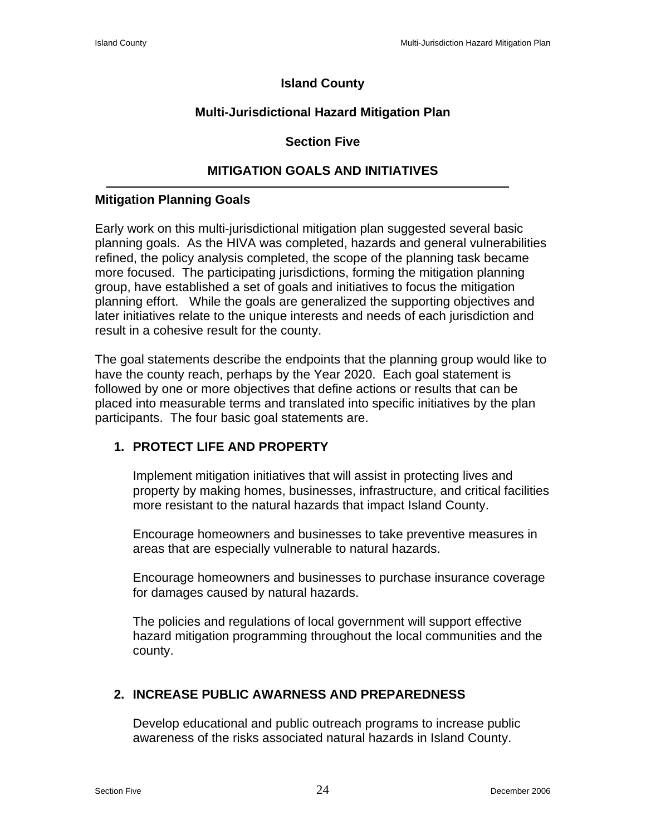## **Island County**

## **Multi-Jurisdictional Hazard Mitigation Plan**

## **Section Five**

# **MITIGATION GOALS AND INITIATIVES**

#### **Mitigation Planning Goals**

Early work on this multi-jurisdictional mitigation plan suggested several basic planning goals. As the HIVA was completed, hazards and general vulnerabilities refined, the policy analysis completed, the scope of the planning task became more focused. The participating jurisdictions, forming the mitigation planning group, have established a set of goals and initiatives to focus the mitigation planning effort. While the goals are generalized the supporting objectives and later initiatives relate to the unique interests and needs of each jurisdiction and result in a cohesive result for the county.

The goal statements describe the endpoints that the planning group would like to have the county reach, perhaps by the Year 2020. Each goal statement is followed by one or more objectives that define actions or results that can be placed into measurable terms and translated into specific initiatives by the plan participants. The four basic goal statements are.

# **1. PROTECT LIFE AND PROPERTY**

Implement mitigation initiatives that will assist in protecting lives and property by making homes, businesses, infrastructure, and critical facilities more resistant to the natural hazards that impact Island County.

Encourage homeowners and businesses to take preventive measures in areas that are especially vulnerable to natural hazards.

Encourage homeowners and businesses to purchase insurance coverage for damages caused by natural hazards.

The policies and regulations of local government will support effective hazard mitigation programming throughout the local communities and the county.

# **2. INCREASE PUBLIC AWARNESS AND PREPAREDNESS**

Develop educational and public outreach programs to increase public awareness of the risks associated natural hazards in Island County.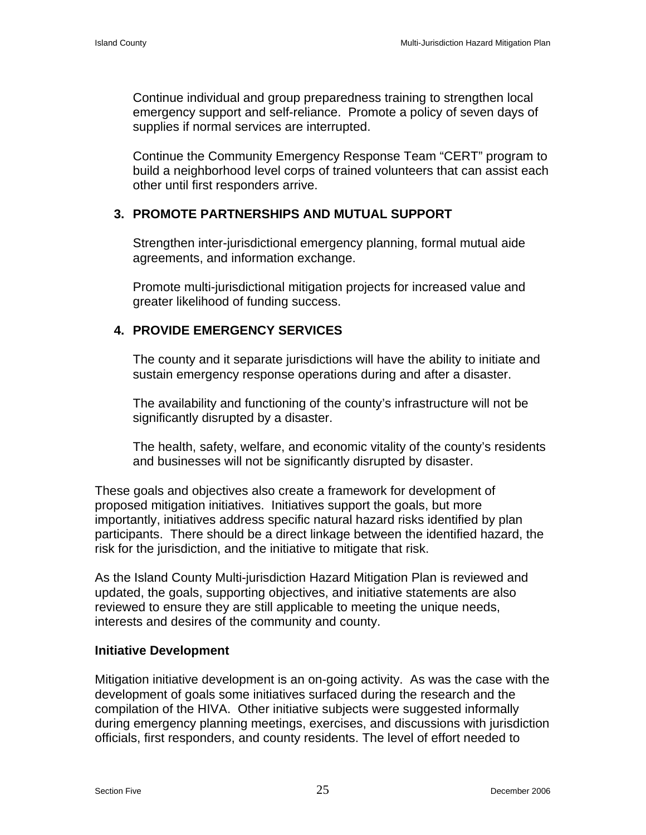Continue individual and group preparedness training to strengthen local emergency support and self-reliance. Promote a policy of seven days of supplies if normal services are interrupted.

Continue the Community Emergency Response Team "CERT" program to build a neighborhood level corps of trained volunteers that can assist each other until first responders arrive.

### **3. PROMOTE PARTNERSHIPS AND MUTUAL SUPPORT**

Strengthen inter-jurisdictional emergency planning, formal mutual aide agreements, and information exchange.

Promote multi-jurisdictional mitigation projects for increased value and greater likelihood of funding success.

# **4. PROVIDE EMERGENCY SERVICES**

The county and it separate jurisdictions will have the ability to initiate and sustain emergency response operations during and after a disaster.

The availability and functioning of the county's infrastructure will not be significantly disrupted by a disaster.

The health, safety, welfare, and economic vitality of the county's residents and businesses will not be significantly disrupted by disaster.

These goals and objectives also create a framework for development of proposed mitigation initiatives. Initiatives support the goals, but more importantly, initiatives address specific natural hazard risks identified by plan participants. There should be a direct linkage between the identified hazard, the risk for the jurisdiction, and the initiative to mitigate that risk.

As the Island County Multi-jurisdiction Hazard Mitigation Plan is reviewed and updated, the goals, supporting objectives, and initiative statements are also reviewed to ensure they are still applicable to meeting the unique needs, interests and desires of the community and county.

#### **Initiative Development**

Mitigation initiative development is an on-going activity. As was the case with the development of goals some initiatives surfaced during the research and the compilation of the HIVA. Other initiative subjects were suggested informally during emergency planning meetings, exercises, and discussions with jurisdiction officials, first responders, and county residents. The level of effort needed to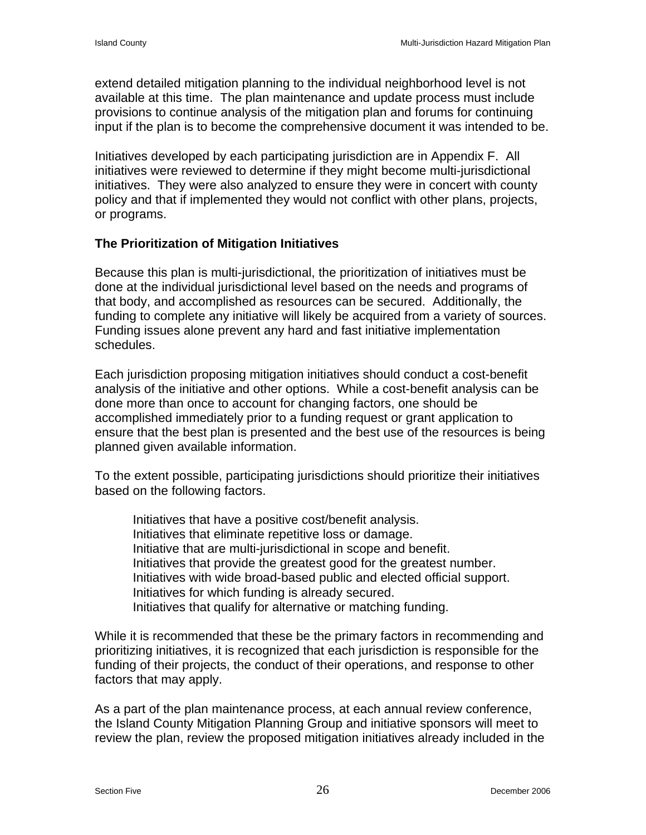extend detailed mitigation planning to the individual neighborhood level is not available at this time. The plan maintenance and update process must include provisions to continue analysis of the mitigation plan and forums for continuing input if the plan is to become the comprehensive document it was intended to be.

Initiatives developed by each participating jurisdiction are in Appendix F. All initiatives were reviewed to determine if they might become multi-jurisdictional initiatives. They were also analyzed to ensure they were in concert with county policy and that if implemented they would not conflict with other plans, projects, or programs.

#### **The Prioritization of Mitigation Initiatives**

Because this plan is multi-jurisdictional, the prioritization of initiatives must be done at the individual jurisdictional level based on the needs and programs of that body, and accomplished as resources can be secured. Additionally, the funding to complete any initiative will likely be acquired from a variety of sources. Funding issues alone prevent any hard and fast initiative implementation schedules.

Each jurisdiction proposing mitigation initiatives should conduct a cost-benefit analysis of the initiative and other options. While a cost-benefit analysis can be done more than once to account for changing factors, one should be accomplished immediately prior to a funding request or grant application to ensure that the best plan is presented and the best use of the resources is being planned given available information.

To the extent possible, participating jurisdictions should prioritize their initiatives based on the following factors.

Initiatives that have a positive cost/benefit analysis. Initiatives that eliminate repetitive loss or damage. Initiative that are multi-jurisdictional in scope and benefit. Initiatives that provide the greatest good for the greatest number. Initiatives with wide broad-based public and elected official support. Initiatives for which funding is already secured. Initiatives that qualify for alternative or matching funding.

While it is recommended that these be the primary factors in recommending and prioritizing initiatives, it is recognized that each jurisdiction is responsible for the funding of their projects, the conduct of their operations, and response to other factors that may apply.

As a part of the plan maintenance process, at each annual review conference, the Island County Mitigation Planning Group and initiative sponsors will meet to review the plan, review the proposed mitigation initiatives already included in the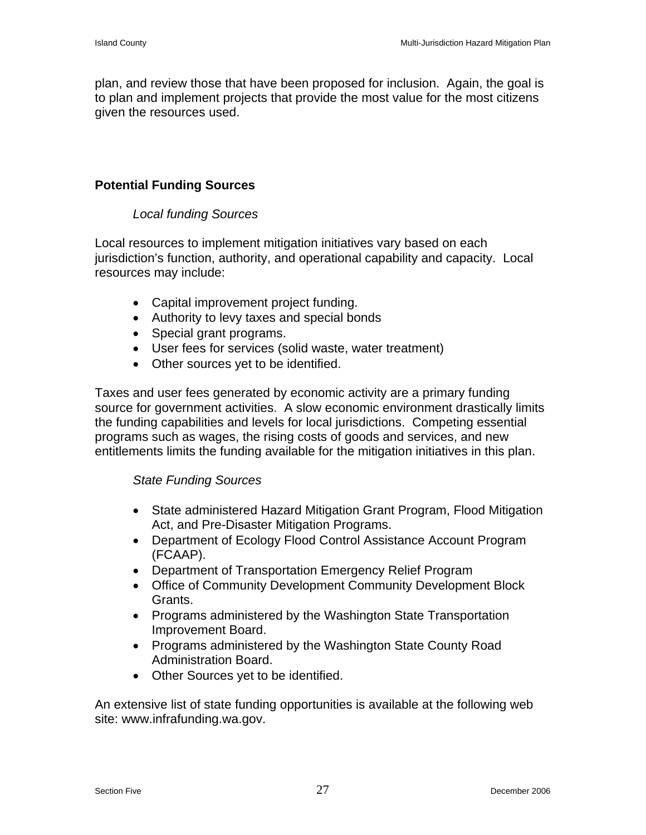plan, and review those that have been proposed for inclusion. Again, the goal is to plan and implement projects that provide the most value for the most citizens given the resources used.

## **Potential Funding Sources**

#### *Local funding Sources*

Local resources to implement mitigation initiatives vary based on each jurisdiction's function, authority, and operational capability and capacity. Local resources may include:

- Capital improvement project funding.
- Authority to levy taxes and special bonds
- Special grant programs.
- User fees for services (solid waste, water treatment)
- Other sources yet to be identified.

Taxes and user fees generated by economic activity are a primary funding source for government activities. A slow economic environment drastically limits the funding capabilities and levels for local jurisdictions. Competing essential programs such as wages, the rising costs of goods and services, and new entitlements limits the funding available for the mitigation initiatives in this plan.

#### *State Funding Sources*

- State administered Hazard Mitigation Grant Program, Flood Mitigation Act, and Pre-Disaster Mitigation Programs.
- Department of Ecology Flood Control Assistance Account Program (FCAAP).
- Department of Transportation Emergency Relief Program
- Office of Community Development Community Development Block Grants.
- Programs administered by the Washington State Transportation Improvement Board.
- Programs administered by the Washington State County Road Administration Board.
- Other Sources yet to be identified.

An extensive list of state funding opportunities is available at the following web site: www.infrafunding.wa.gov.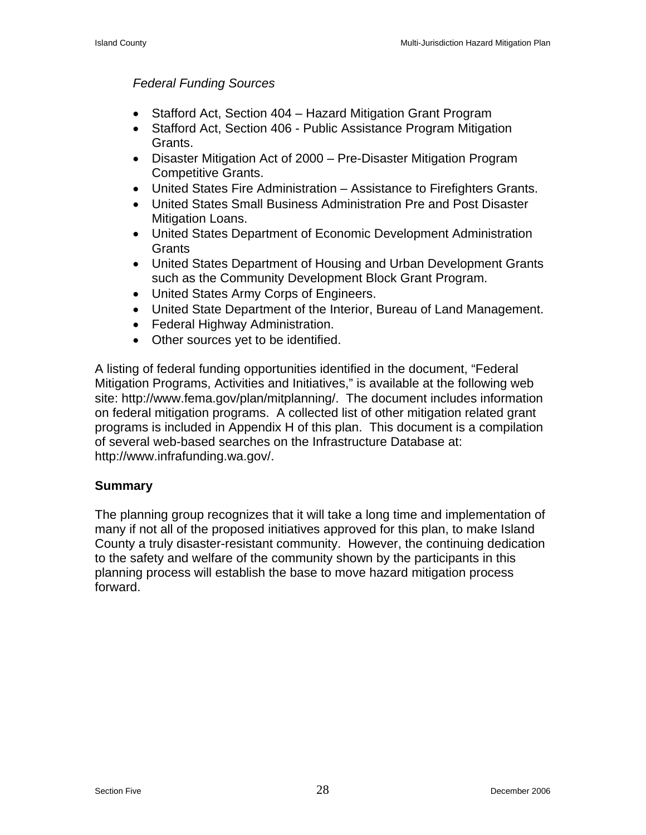### *Federal Funding Sources*

- Stafford Act, Section 404 Hazard Mitigation Grant Program
- Stafford Act, Section 406 Public Assistance Program Mitigation Grants.
- Disaster Mitigation Act of 2000 Pre-Disaster Mitigation Program Competitive Grants.
- United States Fire Administration Assistance to Firefighters Grants.
- United States Small Business Administration Pre and Post Disaster Mitigation Loans.
- United States Department of Economic Development Administration **Grants**
- United States Department of Housing and Urban Development Grants such as the Community Development Block Grant Program.
- United States Army Corps of Engineers.
- United State Department of the Interior, Bureau of Land Management.
- Federal Highway Administration.
- Other sources yet to be identified.

A listing of federal funding opportunities identified in the document, "Federal Mitigation Programs, Activities and Initiatives," is available at the following web site: http://www.fema.gov/plan/mitplanning/. The document includes information on federal mitigation programs. A collected list of other mitigation related grant programs is included in Appendix H of this plan. This document is a compilation of several web-based searches on the Infrastructure Database at: http://www.infrafunding.wa.gov/.

# **Summary**

The planning group recognizes that it will take a long time and implementation of many if not all of the proposed initiatives approved for this plan, to make Island County a truly disaster-resistant community. However, the continuing dedication to the safety and welfare of the community shown by the participants in this planning process will establish the base to move hazard mitigation process forward.